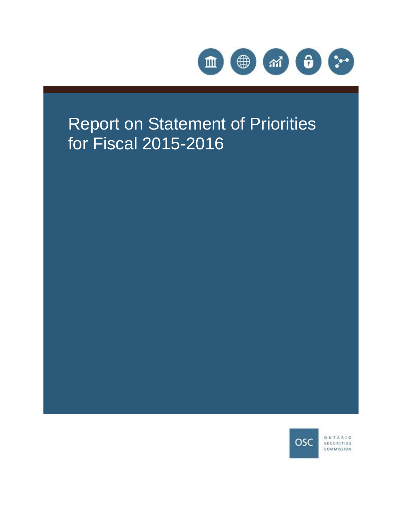

# Report on Statement of Priorities for Fiscal 2015-2016



ONTARIO SECURITIES COMMISSION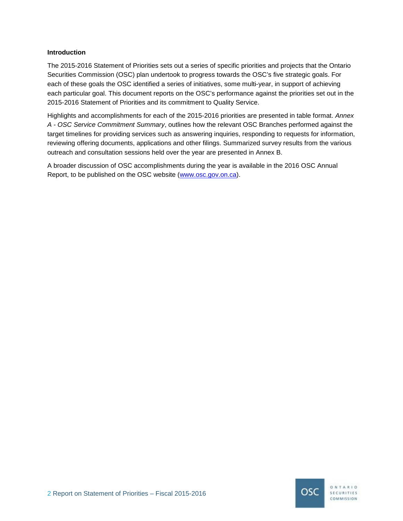#### **Introduction**

The 2015-2016 Statement of Priorities sets out a series of specific priorities and projects that the Ontario Securities Commission (OSC) plan undertook to progress towards the OSC's five strategic goals. For each of these goals the OSC identified a series of initiatives, some multi-year, in support of achieving each particular goal. This document reports on the OSC's performance against the priorities set out in the 2015-2016 Statement of Priorities and its commitment to Quality Service.

Highlights and accomplishments for each of the 2015-2016 priorities are presented in table format. *Annex A - OSC Service Commitment Summary*, outlines how the relevant OSC Branches performed against the target timelines for providing services such as answering inquiries, responding to requests for information, reviewing offering documents, applications and other filings. Summarized survey results from the various outreach and consultation sessions held over the year are presented in Annex B.

A broader discussion of OSC accomplishments during the year is available in the 2016 OSC Annual Report, to be published on the OSC website [\(www.osc.gov.on.ca](http://www.osc,gov.on.ca/)).

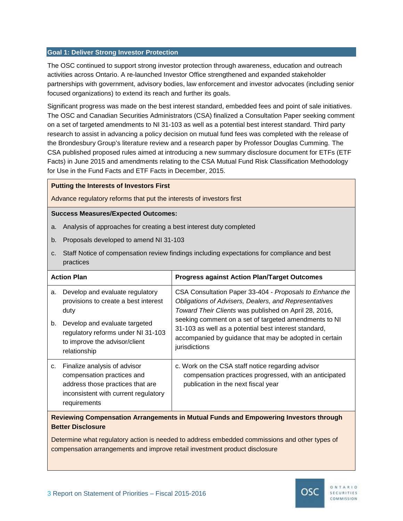#### **Goal 1: Deliver Strong Investor Protection**

The OSC continued to support strong investor protection through awareness, education and outreach activities across Ontario. A re-launched Investor Office strengthened and expanded stakeholder partnerships with government, advisory bodies, law enforcement and investor advocates (including senior focused organizations) to extend its reach and further its goals.

Significant progress was made on the best interest standard, embedded fees and point of sale initiatives. The OSC and Canadian Securities Administrators (CSA) finalized a Consultation Paper seeking comment on a set of targeted amendments to NI 31-103 as well as a potential best interest standard. Third party research to assist in advancing a policy decision on mutual fund fees was completed with the release of the Brondesbury Group's literature review and a research paper by Professor Douglas Cumming. The CSA published proposed rules aimed at introducing a new summary disclosure document for ETFs (ETF Facts) in June 2015 and amendments relating to the CSA Mutual Fund Risk Classification Methodology for Use in the Fund Facts and ETF Facts in December, 2015.

#### **Putting the Interests of Investors First**

Advance regulatory reforms that put the interests of investors first

#### **Success Measures/Expected Outcomes:**

- a. Analysis of approaches for creating a best interest duty completed
- b. Proposals developed to amend NI 31-103
- c. Staff Notice of compensation review findings including expectations for compliance and best practices

| <b>Action Plan</b> |                                                                                                                                                        | <b>Progress against Action Plan/Target Outcomes</b>                                                                                                                                                                                 |
|--------------------|--------------------------------------------------------------------------------------------------------------------------------------------------------|-------------------------------------------------------------------------------------------------------------------------------------------------------------------------------------------------------------------------------------|
| a.                 | Develop and evaluate regulatory<br>provisions to create a best interest<br>duty                                                                        | CSA Consultation Paper 33-404 - Proposals to Enhance the<br>Obligations of Advisers, Dealers, and Representatives<br>Toward Their Clients was published on April 28, 2016,<br>seeking comment on a set of targeted amendments to NI |
| b.                 | Develop and evaluate targeted<br>regulatory reforms under NI 31-103<br>to improve the advisor/client<br>relationship                                   | 31-103 as well as a potential best interest standard,<br>accompanied by guidance that may be adopted in certain<br>jurisdictions                                                                                                    |
| c.                 | Finalize analysis of advisor<br>compensation practices and<br>address those practices that are<br>inconsistent with current regulatory<br>requirements | c. Work on the CSA staff notice regarding advisor<br>compensation practices progressed, with an anticipated<br>publication in the next fiscal year                                                                                  |

**Reviewing Compensation Arrangements in Mutual Funds and Empowering Investors through Better Disclosure**

Determine what regulatory action is needed to address embedded commissions and other types of compensation arrangements and improve retail investment product disclosure

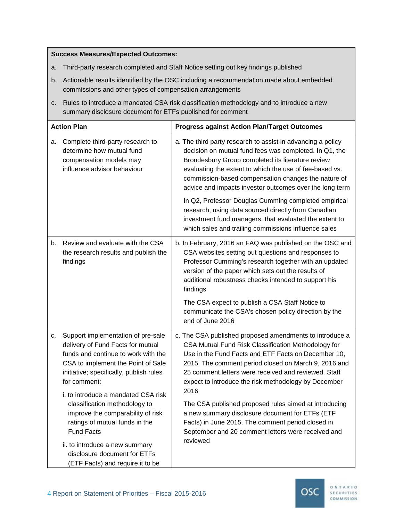- a. Third-party research completed and Staff Notice setting out key findings published
- b. Actionable results identified by the OSC including a recommendation made about embedded commissions and other types of compensation arrangements
- c. Rules to introduce a mandated CSA risk classification methodology and to introduce a new summary disclosure document for ETFs published for comment

| <b>Action Plan</b>                                                                                                                                                                                                                                           | <b>Progress against Action Plan/Target Outcomes</b>                                                                                                                                                                                                                                                                                                     |
|--------------------------------------------------------------------------------------------------------------------------------------------------------------------------------------------------------------------------------------------------------------|---------------------------------------------------------------------------------------------------------------------------------------------------------------------------------------------------------------------------------------------------------------------------------------------------------------------------------------------------------|
| Complete third-party research to<br>а.<br>determine how mutual fund<br>compensation models may<br>influence advisor behaviour                                                                                                                                | a. The third party research to assist in advancing a policy<br>decision on mutual fund fees was completed. In Q1, the<br>Brondesbury Group completed its literature review<br>evaluating the extent to which the use of fee-based vs.<br>commission-based compensation changes the nature of<br>advice and impacts investor outcomes over the long term |
|                                                                                                                                                                                                                                                              | In Q2, Professor Douglas Cumming completed empirical<br>research, using data sourced directly from Canadian<br>investment fund managers, that evaluated the extent to<br>which sales and trailing commissions influence sales                                                                                                                           |
| Review and evaluate with the CSA<br>b.<br>the research results and publish the<br>findings                                                                                                                                                                   | b. In February, 2016 an FAQ was published on the OSC and<br>CSA websites setting out questions and responses to<br>Professor Cumming's research together with an updated<br>version of the paper which sets out the results of<br>additional robustness checks intended to support his<br>findings<br>The CSA expect to publish a CSA Staff Notice to   |
|                                                                                                                                                                                                                                                              | communicate the CSA's chosen policy direction by the<br>end of June 2016                                                                                                                                                                                                                                                                                |
| Support implementation of pre-sale<br>C.<br>delivery of Fund Facts for mutual<br>funds and continue to work with the<br>CSA to implement the Point of Sale<br>initiative; specifically, publish rules<br>for comment:<br>i. to introduce a mandated CSA risk | c. The CSA published proposed amendments to introduce a<br>CSA Mutual Fund Risk Classification Methodology for<br>Use in the Fund Facts and ETF Facts on December 10,<br>2015. The comment period closed on March 9, 2016 and<br>25 comment letters were received and reviewed. Staff<br>expect to introduce the risk methodology by December<br>2016   |
| classification methodology to<br>improve the comparability of risk<br>ratings of mutual funds in the<br><b>Fund Facts</b><br>ii. to introduce a new summary                                                                                                  | The CSA published proposed rules aimed at introducing<br>a new summary disclosure document for ETFs (ETF<br>Facts) in June 2015. The comment period closed in<br>September and 20 comment letters were received and<br>reviewed                                                                                                                         |
| disclosure document for ETFs<br>(ETF Facts) and require it to be                                                                                                                                                                                             |                                                                                                                                                                                                                                                                                                                                                         |

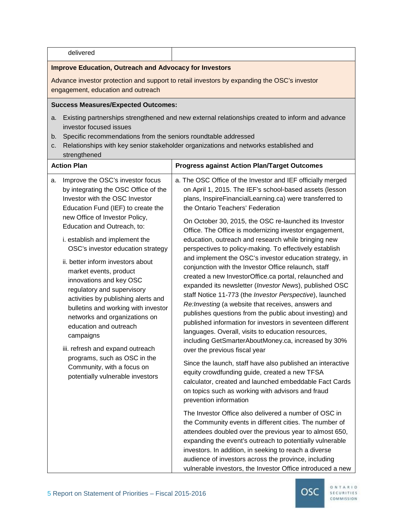| delivered                                                                                                                                                                                                                                                                                                                                                                                                                                                                                                                                                                                                                                                                                                          |                                                                                                                                                                                                                                                                                                                                                                                                                                                                                                                                                                                                                                                                                                                                                                                                                                                                                                                                                                                                                                                                                                                                                                                                                                                                                                                                                                                                                                                                                                                                                                                                                                                                                                                                                                                |  |
|--------------------------------------------------------------------------------------------------------------------------------------------------------------------------------------------------------------------------------------------------------------------------------------------------------------------------------------------------------------------------------------------------------------------------------------------------------------------------------------------------------------------------------------------------------------------------------------------------------------------------------------------------------------------------------------------------------------------|--------------------------------------------------------------------------------------------------------------------------------------------------------------------------------------------------------------------------------------------------------------------------------------------------------------------------------------------------------------------------------------------------------------------------------------------------------------------------------------------------------------------------------------------------------------------------------------------------------------------------------------------------------------------------------------------------------------------------------------------------------------------------------------------------------------------------------------------------------------------------------------------------------------------------------------------------------------------------------------------------------------------------------------------------------------------------------------------------------------------------------------------------------------------------------------------------------------------------------------------------------------------------------------------------------------------------------------------------------------------------------------------------------------------------------------------------------------------------------------------------------------------------------------------------------------------------------------------------------------------------------------------------------------------------------------------------------------------------------------------------------------------------------|--|
| <b>Improve Education, Outreach and Advocacy for Investors</b>                                                                                                                                                                                                                                                                                                                                                                                                                                                                                                                                                                                                                                                      |                                                                                                                                                                                                                                                                                                                                                                                                                                                                                                                                                                                                                                                                                                                                                                                                                                                                                                                                                                                                                                                                                                                                                                                                                                                                                                                                                                                                                                                                                                                                                                                                                                                                                                                                                                                |  |
| Advance investor protection and support to retail investors by expanding the OSC's investor<br>engagement, education and outreach                                                                                                                                                                                                                                                                                                                                                                                                                                                                                                                                                                                  |                                                                                                                                                                                                                                                                                                                                                                                                                                                                                                                                                                                                                                                                                                                                                                                                                                                                                                                                                                                                                                                                                                                                                                                                                                                                                                                                                                                                                                                                                                                                                                                                                                                                                                                                                                                |  |
| <b>Success Measures/Expected Outcomes:</b>                                                                                                                                                                                                                                                                                                                                                                                                                                                                                                                                                                                                                                                                         |                                                                                                                                                                                                                                                                                                                                                                                                                                                                                                                                                                                                                                                                                                                                                                                                                                                                                                                                                                                                                                                                                                                                                                                                                                                                                                                                                                                                                                                                                                                                                                                                                                                                                                                                                                                |  |
| a.<br>investor focused issues<br>Specific recommendations from the seniors roundtable addressed<br>b.<br>C.<br>strengthened<br><b>Action Plan</b>                                                                                                                                                                                                                                                                                                                                                                                                                                                                                                                                                                  | Existing partnerships strengthened and new external relationships created to inform and advance<br>Relationships with key senior stakeholder organizations and networks established and<br><b>Progress against Action Plan/Target Outcomes</b>                                                                                                                                                                                                                                                                                                                                                                                                                                                                                                                                                                                                                                                                                                                                                                                                                                                                                                                                                                                                                                                                                                                                                                                                                                                                                                                                                                                                                                                                                                                                 |  |
| Improve the OSC's investor focus<br>а.<br>by integrating the OSC Office of the<br>Investor with the OSC Investor<br>Education Fund (IEF) to create the<br>new Office of Investor Policy,<br>Education and Outreach, to:<br>i. establish and implement the<br>OSC's investor education strategy<br>ii. better inform investors about<br>market events, product<br>innovations and key OSC<br>regulatory and supervisory<br>activities by publishing alerts and<br>bulletins and working with investor<br>networks and organizations on<br>education and outreach<br>campaigns<br>iii. refresh and expand outreach<br>programs, such as OSC in the<br>Community, with a focus on<br>potentially vulnerable investors | a. The OSC Office of the Investor and IEF officially merged<br>on April 1, 2015. The IEF's school-based assets (lesson<br>plans, InspireFinancialLearning.ca) were transferred to<br>the Ontario Teachers' Federation<br>On October 30, 2015, the OSC re-launched its Investor<br>Office. The Office is modernizing investor engagement,<br>education, outreach and research while bringing new<br>perspectives to policy-making. To effectively establish<br>and implement the OSC's investor education strategy, in<br>conjunction with the Investor Office relaunch, staff<br>created a new InvestorOffice.ca portal, relaunched and<br>expanded its newsletter (Investor News), published OSC<br>staff Notice 11-773 (the Investor Perspective), launched<br>Re: Investing (a website that receives, answers and<br>publishes questions from the public about investing) and<br>published information for investors in seventeen different<br>languages. Overall, visits to education resources,<br>including GetSmarterAboutMoney.ca, increased by 30%<br>over the previous fiscal year<br>Since the launch, staff have also published an interactive<br>equity crowdfunding guide, created a new TFSA<br>calculator, created and launched embeddable Fact Cards<br>on topics such as working with advisors and fraud<br>prevention information<br>The Investor Office also delivered a number of OSC in<br>the Community events in different cities. The number of<br>attendees doubled over the previous year to almost 650,<br>expanding the event's outreach to potentially vulnerable<br>investors. In addition, in seeking to reach a diverse<br>audience of investors across the province, including<br>vulnerable investors, the Investor Office introduced a new |  |

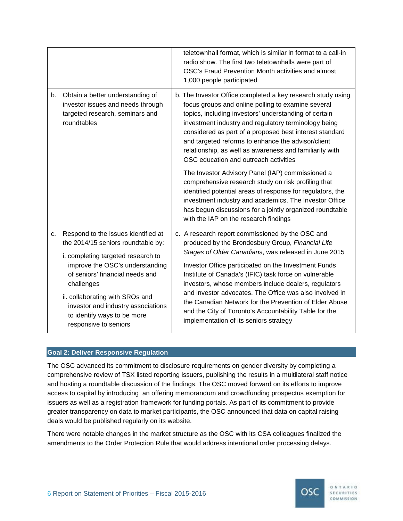|    |                                                                                                                                                                                                                                                                                                                                      | teletownhall format, which is similar in format to a call-in<br>radio show. The first two teletownhalls were part of<br>OSC's Fraud Prevention Month activities and almost<br>1,000 people participated                                                                                                                                                                                                                                                                                                                                                         |
|----|--------------------------------------------------------------------------------------------------------------------------------------------------------------------------------------------------------------------------------------------------------------------------------------------------------------------------------------|-----------------------------------------------------------------------------------------------------------------------------------------------------------------------------------------------------------------------------------------------------------------------------------------------------------------------------------------------------------------------------------------------------------------------------------------------------------------------------------------------------------------------------------------------------------------|
| b. | Obtain a better understanding of<br>investor issues and needs through<br>targeted research, seminars and<br>roundtables                                                                                                                                                                                                              | b. The Investor Office completed a key research study using<br>focus groups and online polling to examine several<br>topics, including investors' understanding of certain<br>investment industry and regulatory terminology being<br>considered as part of a proposed best interest standard<br>and targeted reforms to enhance the advisor/client<br>relationship, as well as awareness and familiarity with<br>OSC education and outreach activities                                                                                                         |
|    |                                                                                                                                                                                                                                                                                                                                      | The Investor Advisory Panel (IAP) commissioned a<br>comprehensive research study on risk profiling that<br>identified potential areas of response for regulators, the<br>investment industry and academics. The Investor Office<br>has begun discussions for a jointly organized roundtable<br>with the IAP on the research findings                                                                                                                                                                                                                            |
| c. | Respond to the issues identified at<br>the 2014/15 seniors roundtable by:<br>i. completing targeted research to<br>improve the OSC's understanding<br>of seniors' financial needs and<br>challenges<br>ii. collaborating with SROs and<br>investor and industry associations<br>to identify ways to be more<br>responsive to seniors | c. A research report commissioned by the OSC and<br>produced by the Brondesbury Group, Financial Life<br>Stages of Older Canadians, was released in June 2015<br>Investor Office participated on the Investment Funds<br>Institute of Canada's (IFIC) task force on vulnerable<br>investors, whose members include dealers, regulators<br>and investor advocates. The Office was also involved in<br>the Canadian Network for the Prevention of Elder Abuse<br>and the City of Toronto's Accountability Table for the<br>implementation of its seniors strategy |

#### **Goal 2: Deliver Responsive Regulation**

The OSC advanced its commitment to disclosure requirements on gender diversity by completing a comprehensive review of TSX listed reporting issuers, publishing the results in a multilateral staff notice and hosting a roundtable discussion of the findings. The OSC moved forward on its efforts to improve access to capital by introducing an offering memorandum and crowdfunding prospectus exemption for issuers as well as a registration framework for funding portals. As part of its commitment to provide greater transparency on data to market participants, the OSC announced that data on capital raising deals would be published regularly on its website.

There were notable changes in the market structure as the OSC with its CSA colleagues finalized the amendments to the Order Protection Rule that would address intentional order processing delays.

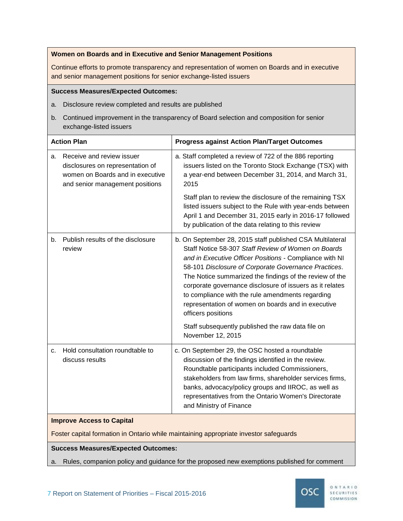#### **Women on Boards and in Executive and Senior Management Positions**

Continue efforts to promote transparency and representation of women on Boards and in executive and senior management positions for senior exchange-listed issuers

#### **Success Measures/Expected Outcomes:**

- a. Disclosure review completed and results are published
- b. Continued improvement in the transparency of Board selection and composition for senior exchange-listed issuers

| <b>Action Plan</b> |                                                                                                                                      | <b>Progress against Action Plan/Target Outcomes</b>                                                                                                                                                                                                                                                                                                                                                                                                                                                                                                                  |
|--------------------|--------------------------------------------------------------------------------------------------------------------------------------|----------------------------------------------------------------------------------------------------------------------------------------------------------------------------------------------------------------------------------------------------------------------------------------------------------------------------------------------------------------------------------------------------------------------------------------------------------------------------------------------------------------------------------------------------------------------|
| а.                 | Receive and review issuer<br>disclosures on representation of<br>women on Boards and in executive<br>and senior management positions | a. Staff completed a review of 722 of the 886 reporting<br>issuers listed on the Toronto Stock Exchange (TSX) with<br>a year-end between December 31, 2014, and March 31,<br>2015                                                                                                                                                                                                                                                                                                                                                                                    |
|                    |                                                                                                                                      | Staff plan to review the disclosure of the remaining TSX<br>listed issuers subject to the Rule with year-ends between<br>April 1 and December 31, 2015 early in 2016-17 followed<br>by publication of the data relating to this review                                                                                                                                                                                                                                                                                                                               |
| b.                 | Publish results of the disclosure<br>review                                                                                          | b. On September 28, 2015 staff published CSA Multilateral<br>Staff Notice 58-307 Staff Review of Women on Boards<br>and in Executive Officer Positions - Compliance with NI<br>58-101 Disclosure of Corporate Governance Practices.<br>The Notice summarized the findings of the review of the<br>corporate governance disclosure of issuers as it relates<br>to compliance with the rule amendments regarding<br>representation of women on boards and in executive<br>officers positions<br>Staff subsequently published the raw data file on<br>November 12, 2015 |
| c.                 | Hold consultation roundtable to<br>discuss results                                                                                   | c. On September 29, the OSC hosted a roundtable<br>discussion of the findings identified in the review.<br>Roundtable participants included Commissioners,<br>stakeholders from law firms, shareholder services firms,<br>banks, advocacy/policy groups and IIROC, as well as<br>representatives from the Ontario Women's Directorate<br>and Ministry of Finance                                                                                                                                                                                                     |
|                    | <b>Improve Access to Capital</b><br>$\sim$ $\sim$ $\sim$ $\sim$ $\sim$ $\sim$ $\sim$                                                 |                                                                                                                                                                                                                                                                                                                                                                                                                                                                                                                                                                      |

# Foster capital formation in Ontario while maintaining appropriate investor safeguards

# **Success Measures/Expected Outcomes:**

a. Rules, companion policy and guidance for the proposed new exemptions published for comment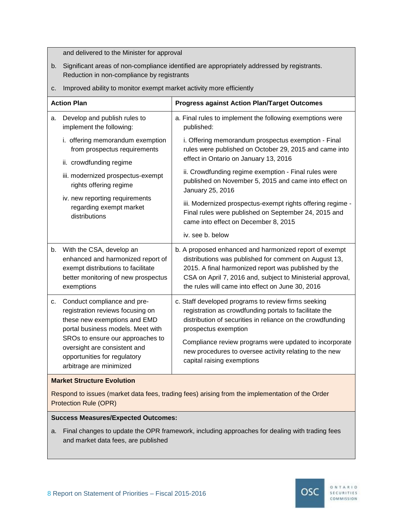and delivered to the Minister for approval

- b. Significant areas of non-compliance identified are appropriately addressed by registrants. Reduction in non-compliance by registrants
- c. Improved ability to monitor exempt market activity more efficiently

| <b>Progress against Action Plan/Target Outcomes</b>                                                                                                                                                                                                                                                                                                                                                                                                                  |
|----------------------------------------------------------------------------------------------------------------------------------------------------------------------------------------------------------------------------------------------------------------------------------------------------------------------------------------------------------------------------------------------------------------------------------------------------------------------|
| a. Final rules to implement the following exemptions were<br>published:                                                                                                                                                                                                                                                                                                                                                                                              |
| i. offering memorandum exemption<br>i. Offering memorandum prospectus exemption - Final<br>rules were published on October 29, 2015 and came into<br>from prospectus requirements<br>effect in Ontario on January 13, 2016                                                                                                                                                                                                                                           |
| ii. Crowdfunding regime exemption - Final rules were<br>iii. modernized prospectus-exempt<br>published on November 5, 2015 and came into effect on<br>January 25, 2016                                                                                                                                                                                                                                                                                               |
| iv. new reporting requirements<br>iii. Modernized prospectus-exempt rights offering regime -<br>Final rules were published on September 24, 2015 and<br>came into effect on December 8, 2015                                                                                                                                                                                                                                                                         |
| iv. see b. below                                                                                                                                                                                                                                                                                                                                                                                                                                                     |
| b. A proposed enhanced and harmonized report of exempt<br>distributions was published for comment on August 13,<br>enhanced and harmonized report of<br>exempt distributions to facilitate<br>2015. A final harmonized report was published by the<br>CSA on April 7, 2016 and, subject to Ministerial approval,<br>better monitoring of new prospectus<br>the rules will came into effect on June 30, 2016                                                          |
| c. Staff developed programs to review firms seeking<br>registration reviews focusing on<br>registration as crowdfunding portals to facilitate the<br>these new exemptions and EMD<br>distribution of securities in reliance on the crowdfunding<br>portal business models. Meet with<br>prospectus exemption<br>SROs to ensure our approaches to<br>Compliance review programs were updated to incorporate<br>new procedures to oversee activity relating to the new |
|                                                                                                                                                                                                                                                                                                                                                                                                                                                                      |

#### **Market Structure Evolution**

Respond to issues (market data fees, trading fees) arising from the implementation of the Order Protection Rule (OPR)

#### **Success Measures/Expected Outcomes:**

a. Final changes to update the OPR framework, including approaches for dealing with trading fees and market data fees, are published

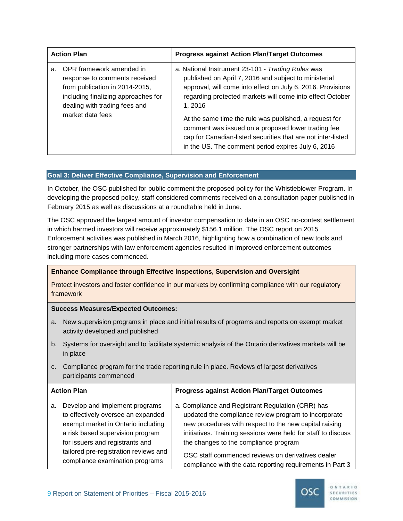| <b>Action Plan</b> |                                                                                                                                                                                         | <b>Progress against Action Plan/Target Outcomes</b>                                                                                                                                                                                                                                                                                                                                                                                                                                    |
|--------------------|-----------------------------------------------------------------------------------------------------------------------------------------------------------------------------------------|----------------------------------------------------------------------------------------------------------------------------------------------------------------------------------------------------------------------------------------------------------------------------------------------------------------------------------------------------------------------------------------------------------------------------------------------------------------------------------------|
| a.                 | OPR framework amended in<br>response to comments received<br>from publication in 2014-2015,<br>including finalizing approaches for<br>dealing with trading fees and<br>market data fees | a. National Instrument 23-101 - Trading Rules was<br>published on April 7, 2016 and subject to ministerial<br>approval, will come into effect on July 6, 2016. Provisions<br>regarding protected markets will come into effect October<br>1.2016<br>At the same time the rule was published, a request for<br>comment was issued on a proposed lower trading fee<br>cap for Canadian-listed securities that are not inter-listed<br>in the US. The comment period expires July 6, 2016 |

# **Goal 3: Deliver Effective Compliance, Supervision and Enforcement**

In October, the OSC published for public comment the proposed policy for the Whistleblower Program. In developing the proposed policy, staff considered comments received on a consultation paper published in February 2015 as well as discussions at a roundtable held in June.

The OSC approved the largest amount of investor compensation to date in an OSC no-contest settlement in which harmed investors will receive approximately \$156.1 million. The OSC report on 2015 Enforcement activities was published in March 2016, highlighting how a combination of new tools and stronger partnerships with law enforcement agencies resulted in improved enforcement outcomes including more cases commenced.

# **Enhance Compliance through Effective Inspections, Supervision and Oversight**

Protect investors and foster confidence in our markets by confirming compliance with our regulatory framework

- a. New supervision programs in place and initial results of programs and reports on exempt market activity developed and published
- b. Systems for oversight and to facilitate systemic analysis of the Ontario derivatives markets will be in place
- c. Compliance program for the trade reporting rule in place. Reviews of largest derivatives participants commenced

| <b>Action Plan</b>                                                                                                                                                                                                                                                  | <b>Progress against Action Plan/Target Outcomes</b>                                                                                                                                                                                                                                                                                                                                             |  |
|---------------------------------------------------------------------------------------------------------------------------------------------------------------------------------------------------------------------------------------------------------------------|-------------------------------------------------------------------------------------------------------------------------------------------------------------------------------------------------------------------------------------------------------------------------------------------------------------------------------------------------------------------------------------------------|--|
| Develop and implement programs<br>a.<br>to effectively oversee an expanded<br>exempt market in Ontario including<br>a risk based supervision program<br>for issuers and registrants and<br>tailored pre-registration reviews and<br>compliance examination programs | a. Compliance and Registrant Regulation (CRR) has<br>updated the compliance review program to incorporate<br>new procedures with respect to the new capital raising<br>initiatives. Training sessions were held for staff to discuss<br>the changes to the compliance program<br>OSC staff commenced reviews on derivatives dealer<br>compliance with the data reporting requirements in Part 3 |  |

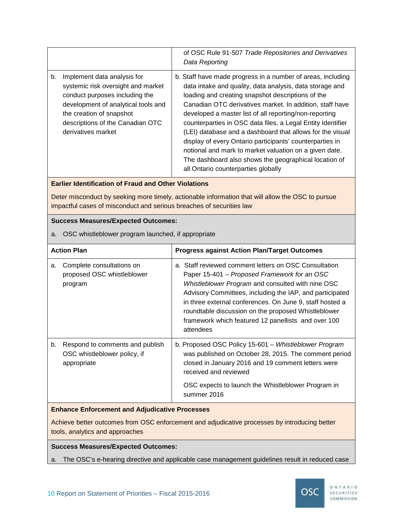|    |                                                                                                                                                                                                                                  | of OSC Rule 91-507 Trade Repositories and Derivatives<br>Data Reporting                                                                                                                                                                                                                                                                                                                                                                                                                                                                                                                                                                              |
|----|----------------------------------------------------------------------------------------------------------------------------------------------------------------------------------------------------------------------------------|------------------------------------------------------------------------------------------------------------------------------------------------------------------------------------------------------------------------------------------------------------------------------------------------------------------------------------------------------------------------------------------------------------------------------------------------------------------------------------------------------------------------------------------------------------------------------------------------------------------------------------------------------|
| b. | Implement data analysis for<br>systemic risk oversight and market<br>conduct purposes including the<br>development of analytical tools and<br>the creation of snapshot<br>descriptions of the Canadian OTC<br>derivatives market | b. Staff have made progress in a number of areas, including<br>data intake and quality, data analysis, data storage and<br>loading and creating snapshot descriptions of the<br>Canadian OTC derivatives market. In addition, staff have<br>developed a master list of all reporting/non-reporting<br>counterparties in OSC data files, a Legal Entity Identifier<br>(LEI) database and a dashboard that allows for the visual<br>display of every Ontario participants' counterparties in<br>notional and mark to market valuation on a given date.<br>The dashboard also shows the geographical location of<br>all Ontario counterparties globally |

#### **Earlier Identification of Fraud and Other Violations**

Deter misconduct by seeking more timely, actionable information that will allow the OSC to pursue impactful cases of misconduct and serious breaches of securities law

#### **Success Measures/Expected Outcomes:**

a. OSC whistleblower program launched, if appropriate

| <b>Action Plan</b>                                                                   |  | <b>Progress against Action Plan/Target Outcomes</b>                                                                                                                                                                                                                                                                                                                                                           |
|--------------------------------------------------------------------------------------|--|---------------------------------------------------------------------------------------------------------------------------------------------------------------------------------------------------------------------------------------------------------------------------------------------------------------------------------------------------------------------------------------------------------------|
| Complete consultations on<br>a.<br>proposed OSC whistleblower<br>program             |  | a. Staff reviewed comment letters on OSC Consultation<br>Paper 15-401 – Proposed Framework for an OSC<br>Whistleblower Program and consulted with nine OSC<br>Advisory Committees, including the IAP, and participated<br>in three external conferences. On June 9, staff hosted a<br>roundtable discussion on the proposed Whistleblower<br>framework which featured 12 panellists and over 100<br>attendees |
| Respond to comments and publish<br>b.<br>OSC whistleblower policy, if<br>appropriate |  | b. Proposed OSC Policy 15-601 - Whistleblower Program<br>was published on October 28, 2015. The comment period<br>closed in January 2016 and 19 comment letters were<br>received and reviewed<br>OSC expects to launch the Whistleblower Program in<br>summer 2016                                                                                                                                            |

# **Enhance Enforcement and Adjudicative Processes**

Achieve better outcomes from OSC enforcement and adjudicative processes by introducing better tools, analytics and approaches

# **Success Measures/Expected Outcomes:**

a. The OSC's e-hearing directive and applicable case management guidelines result in reduced case

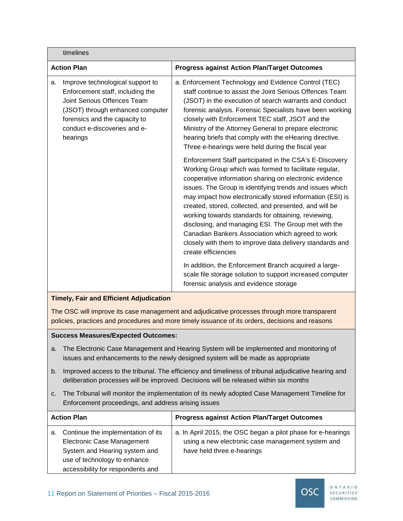|                    | timelines                                                                                                                                                                                                            |                                                                                                                                                                                                                                                                                                                                                                                                                                                                                                                                                                                                                                                                                                                                                                                                                                                                                                                                                                                                                                                                                               |
|--------------------|----------------------------------------------------------------------------------------------------------------------------------------------------------------------------------------------------------------------|-----------------------------------------------------------------------------------------------------------------------------------------------------------------------------------------------------------------------------------------------------------------------------------------------------------------------------------------------------------------------------------------------------------------------------------------------------------------------------------------------------------------------------------------------------------------------------------------------------------------------------------------------------------------------------------------------------------------------------------------------------------------------------------------------------------------------------------------------------------------------------------------------------------------------------------------------------------------------------------------------------------------------------------------------------------------------------------------------|
| <b>Action Plan</b> |                                                                                                                                                                                                                      | <b>Progress against Action Plan/Target Outcomes</b>                                                                                                                                                                                                                                                                                                                                                                                                                                                                                                                                                                                                                                                                                                                                                                                                                                                                                                                                                                                                                                           |
| a.                 | Improve technological support to<br>Enforcement staff, including the<br>Joint Serious Offences Team<br>(JSOT) through enhanced computer<br>forensics and the capacity to<br>conduct e-discoveries and e-<br>hearings | a. Enforcement Technology and Evidence Control (TEC)<br>staff continue to assist the Joint Serious Offences Team<br>(JSOT) in the execution of search warrants and conduct<br>forensic analysis. Forensic Specialists have been working<br>closely with Enforcement TEC staff, JSOT and the<br>Ministry of the Attorney General to prepare electronic<br>hearing briefs that comply with the eHearing directive.<br>Three e-hearings were held during the fiscal year<br>Enforcement Staff participated in the CSA's E-Discovery<br>Working Group which was formed to facilitate regular,<br>cooperative information sharing on electronic evidence<br>issues. The Group is identifying trends and issues which<br>may impact how electronically stored information (ESI) is<br>created, stored, collected, and presented, and will be<br>working towards standards for obtaining, reviewing,<br>disclosing, and managing ESI. The Group met with the<br>Canadian Bankers Association which agreed to work<br>closely with them to improve data delivery standards and<br>create efficiencies |
|                    |                                                                                                                                                                                                                      | In addition, the Enforcement Branch acquired a large-<br>scale file storage solution to support increased computer<br>forensic analysis and evidence storage                                                                                                                                                                                                                                                                                                                                                                                                                                                                                                                                                                                                                                                                                                                                                                                                                                                                                                                                  |

# **Timely, Fair and Efficient Adjudication**

The OSC will improve its case management and adjudicative processes through more transparent policies, practices and procedures and more timely issuance of its orders, decisions and reasons

- a. The Electronic Case Management and Hearing System will be implemented and monitoring of issues and enhancements to the newly designed system will be made as appropriate
- b. Improved access to the tribunal. The efficiency and timeliness of tribunal adjudicative hearing and deliberation processes will be improved. Decisions will be released within six months
- c. The Tribunal will monitor the implementation of its newly adopted Case Management Timeline for Enforcement proceedings, and address arising issues

| <b>Action Plan</b> |                                                                                                                                                                        | <b>Progress against Action Plan/Target Outcomes</b>                                                                                             |
|--------------------|------------------------------------------------------------------------------------------------------------------------------------------------------------------------|-------------------------------------------------------------------------------------------------------------------------------------------------|
| a.                 | Continue the implementation of its<br>Electronic Case Management<br>System and Hearing system and<br>use of technology to enhance<br>accessibility for respondents and | a. In April 2015, the OSC began a pilot phase for e-hearings<br>using a new electronic case management system and<br>have held three e-hearings |

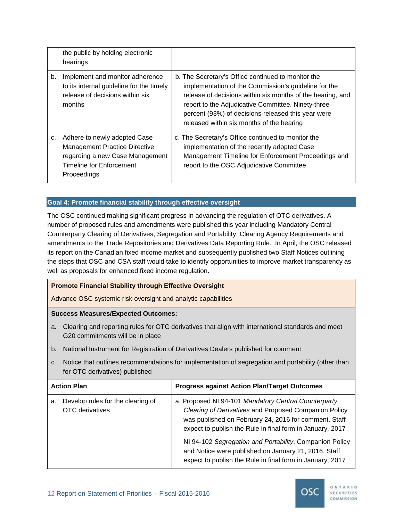|    | the public by holding electronic<br>hearings                                                                                                       |                                                                                                                                                                                                                                                                                                                                   |
|----|----------------------------------------------------------------------------------------------------------------------------------------------------|-----------------------------------------------------------------------------------------------------------------------------------------------------------------------------------------------------------------------------------------------------------------------------------------------------------------------------------|
| b. | Implement and monitor adherence<br>to its internal guideline for the timely<br>release of decisions within six<br>months                           | b. The Secretary's Office continued to monitor the<br>implementation of the Commission's guideline for the<br>release of decisions within six months of the hearing, and<br>report to the Adjudicative Committee. Ninety-three<br>percent (93%) of decisions released this year were<br>released within six months of the hearing |
| c. | Adhere to newly adopted Case<br><b>Management Practice Directive</b><br>regarding a new Case Management<br>Timeline for Enforcement<br>Proceedings | c. The Secretary's Office continued to monitor the<br>implementation of the recently adopted Case<br>Management Timeline for Enforcement Proceedings and<br>report to the OSC Adjudicative Committee                                                                                                                              |

# **Goal 4: Promote financial stability through effective oversight**

The OSC continued making significant progress in advancing the regulation of OTC derivatives. A number of proposed rules and amendments were published this year including Mandatory Central Counterparty Clearing of Derivatives, Segregation and Portability, Clearing Agency Requirements and amendments to the Trade Repositories and Derivatives Data Reporting Rule. In April, the OSC released its report on the Canadian fixed income market and subsequently published two Staff Notices outlining the steps that OSC and CSA staff would take to identify opportunities to improve market transparency as well as proposals for enhanced fixed income regulation.

# **Promote Financial Stability through Effective Oversight**

Advance OSC systemic risk oversight and analytic capabilities

- a. Clearing and reporting rules for OTC derivatives that align with international standards and meet G20 commitments will be in place
- b. National Instrument for Registration of Derivatives Dealers published for comment
- c. Notice that outlines recommendations for implementation of segregation and portability (other than for OTC derivatives) published

| <b>Action Plan</b>                                                | <b>Progress against Action Plan/Target Outcomes</b>                                                                                                                                                                                 |
|-------------------------------------------------------------------|-------------------------------------------------------------------------------------------------------------------------------------------------------------------------------------------------------------------------------------|
| Develop rules for the clearing of<br>a.<br><b>OTC</b> derivatives | a. Proposed NI 94-101 Mandatory Central Counterparty<br>Clearing of Derivatives and Proposed Companion Policy<br>was published on February 24, 2016 for comment. Staff<br>expect to publish the Rule in final form in January, 2017 |
|                                                                   | NI 94-102 Segregation and Portability, Companion Policy<br>and Notice were published on January 21, 2016. Staff<br>expect to publish the Rule in final form in January, 2017                                                        |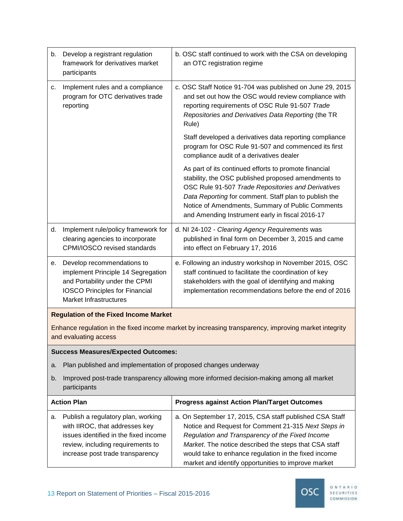| b. | Develop a registrant regulation<br>framework for derivatives market<br>participants                                                                                                    | b. OSC staff continued to work with the CSA on developing<br>an OTC registration regime                                                                                                                                                                                                                                                   |  |  |  |  |
|----|----------------------------------------------------------------------------------------------------------------------------------------------------------------------------------------|-------------------------------------------------------------------------------------------------------------------------------------------------------------------------------------------------------------------------------------------------------------------------------------------------------------------------------------------|--|--|--|--|
| c. | Implement rules and a compliance<br>program for OTC derivatives trade<br>reporting                                                                                                     | c. OSC Staff Notice 91-704 was published on June 29, 2015<br>and set out how the OSC would review compliance with<br>reporting requirements of OSC Rule 91-507 Trade<br>Repositories and Derivatives Data Reporting (the TR<br>Rule)                                                                                                      |  |  |  |  |
|    |                                                                                                                                                                                        | Staff developed a derivatives data reporting compliance<br>program for OSC Rule 91-507 and commenced its first<br>compliance audit of a derivatives dealer                                                                                                                                                                                |  |  |  |  |
|    |                                                                                                                                                                                        | As part of its continued efforts to promote financial<br>stability, the OSC published proposed amendments to<br>OSC Rule 91-507 Trade Repositories and Derivatives<br>Data Reporting for comment. Staff plan to publish the<br>Notice of Amendments, Summary of Public Comments<br>and Amending Instrument early in fiscal 2016-17        |  |  |  |  |
| d. | Implement rule/policy framework for<br>clearing agencies to incorporate<br>CPMI/IOSCO revised standards                                                                                | d. NI 24-102 - Clearing Agency Requirements was<br>published in final form on December 3, 2015 and came<br>into effect on February 17, 2016                                                                                                                                                                                               |  |  |  |  |
| е. | Develop recommendations to<br>implement Principle 14 Segregation<br>and Portability under the CPMI<br><b>IOSCO Principles for Financial</b><br>Market Infrastructures                  | e. Following an industry workshop in November 2015, OSC<br>staff continued to facilitate the coordination of key<br>stakeholders with the goal of identifying and making<br>implementation recommendations before the end of 2016                                                                                                         |  |  |  |  |
|    | <b>Regulation of the Fixed Income Market</b>                                                                                                                                           |                                                                                                                                                                                                                                                                                                                                           |  |  |  |  |
|    | and evaluating access                                                                                                                                                                  | Enhance regulation in the fixed income market by increasing transparency, improving market integrity                                                                                                                                                                                                                                      |  |  |  |  |
|    | <b>Success Measures/Expected Outcomes:</b>                                                                                                                                             |                                                                                                                                                                                                                                                                                                                                           |  |  |  |  |
| a. | Plan published and implementation of proposed changes underway                                                                                                                         |                                                                                                                                                                                                                                                                                                                                           |  |  |  |  |
| b. | participants                                                                                                                                                                           | Improved post-trade transparency allowing more informed decision-making among all market                                                                                                                                                                                                                                                  |  |  |  |  |
|    | <b>Action Plan</b>                                                                                                                                                                     | <b>Progress against Action Plan/Target Outcomes</b>                                                                                                                                                                                                                                                                                       |  |  |  |  |
| а. | Publish a regulatory plan, working<br>with IIROC, that addresses key<br>issues identified in the fixed income<br>review, including requirements to<br>increase post trade transparency | a. On September 17, 2015, CSA staff published CSA Staff<br>Notice and Request for Comment 21-315 Next Steps in<br>Regulation and Transparency of the Fixed Income<br>Market. The notice described the steps that CSA staff<br>would take to enhance regulation in the fixed income<br>market and identify opportunities to improve market |  |  |  |  |

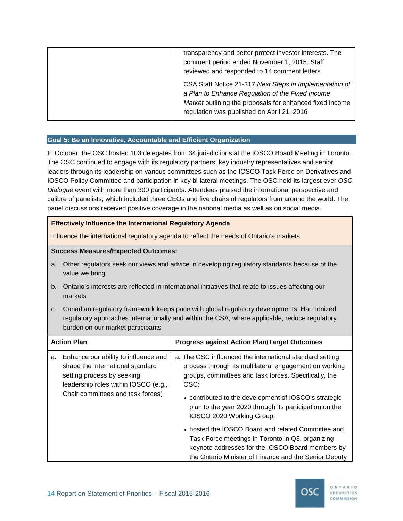| transparency and better protect investor interests. The<br>comment period ended November 1, 2015. Staff<br>reviewed and responded to 14 comment letters                                                               |
|-----------------------------------------------------------------------------------------------------------------------------------------------------------------------------------------------------------------------|
| CSA Staff Notice 21-317 Next Steps in Implementation of<br>a Plan to Enhance Regulation of the Fixed Income<br>Market outlining the proposals for enhanced fixed income<br>regulation was published on April 21, 2016 |

#### **Goal 5: Be an Innovative, Accountable and Efficient Organization**

In October, the OSC hosted 103 delegates from 34 jurisdictions at the IOSCO Board Meeting in Toronto. The OSC continued to engage with its regulatory partners, key industry representatives and senior leaders through its leadership on various committees such as the IOSCO Task Force on Derivatives and IOSCO Policy Committee and participation in key bi-lateral meetings. The OSC held its largest ever *OSC Dialogue* event with more than 300 participants. Attendees praised the international perspective and calibre of panelists, which included three CEOs and five chairs of regulators from around the world. The panel discussions received positive coverage in the national media as well as on social media.

#### **Effectively Influence the International Regulatory Agenda**

Influence the international regulatory agenda to reflect the needs of Ontario's markets

- a. Other regulators seek our views and advice in developing regulatory standards because of the value we bring
- b. Ontario's interests are reflected in international initiatives that relate to issues affecting our markets
- c. Canadian regulatory framework keeps pace with global regulatory developments. Harmonized regulatory approaches internationally and within the CSA, where applicable, reduce regulatory burden on our market participants

| <b>Action Plan</b> |                                                                                                                                                                                     | <b>Progress against Action Plan/Target Outcomes</b>                                                                                                                                                                                                                                                                                                                                                                                                                                                                                                        |
|--------------------|-------------------------------------------------------------------------------------------------------------------------------------------------------------------------------------|------------------------------------------------------------------------------------------------------------------------------------------------------------------------------------------------------------------------------------------------------------------------------------------------------------------------------------------------------------------------------------------------------------------------------------------------------------------------------------------------------------------------------------------------------------|
| a.                 | Enhance our ability to influence and<br>shape the international standard<br>setting process by seeking<br>leadership roles within IOSCO (e.g.,<br>Chair committees and task forces) | a. The OSC influenced the international standard setting<br>process through its multilateral engagement on working<br>groups, committees and task forces. Specifically, the<br>OSC:<br>• contributed to the development of IOSCO's strategic<br>plan to the year 2020 through its participation on the<br>IOSCO 2020 Working Group;<br>• hosted the IOSCO Board and related Committee and<br>Task Force meetings in Toronto in Q3, organizing<br>keynote addresses for the IOSCO Board members by<br>the Ontario Minister of Finance and the Senior Deputy |

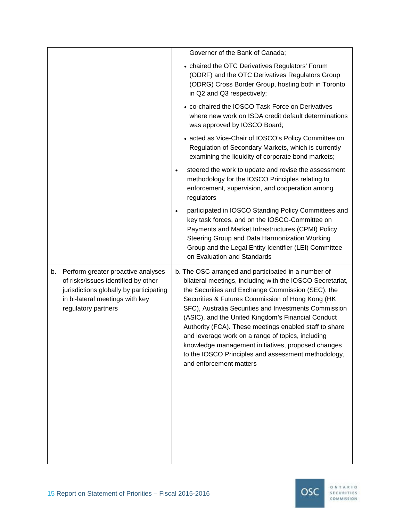|                                                                                                                                                                                      | Governor of the Bank of Canada;                                                                                                                                                                                                                                                                                                                                                                                                                                                                                                                                                                 |
|--------------------------------------------------------------------------------------------------------------------------------------------------------------------------------------|-------------------------------------------------------------------------------------------------------------------------------------------------------------------------------------------------------------------------------------------------------------------------------------------------------------------------------------------------------------------------------------------------------------------------------------------------------------------------------------------------------------------------------------------------------------------------------------------------|
|                                                                                                                                                                                      | • chaired the OTC Derivatives Regulators' Forum<br>(ODRF) and the OTC Derivatives Regulators Group<br>(ODRG) Cross Border Group, hosting both in Toronto<br>in Q2 and Q3 respectively;                                                                                                                                                                                                                                                                                                                                                                                                          |
|                                                                                                                                                                                      | • co-chaired the IOSCO Task Force on Derivatives<br>where new work on ISDA credit default determinations<br>was approved by IOSCO Board;                                                                                                                                                                                                                                                                                                                                                                                                                                                        |
|                                                                                                                                                                                      | • acted as Vice-Chair of IOSCO's Policy Committee on<br>Regulation of Secondary Markets, which is currently<br>examining the liquidity of corporate bond markets;                                                                                                                                                                                                                                                                                                                                                                                                                               |
|                                                                                                                                                                                      | steered the work to update and revise the assessment<br>$\bullet$<br>methodology for the IOSCO Principles relating to<br>enforcement, supervision, and cooperation among<br>regulators                                                                                                                                                                                                                                                                                                                                                                                                          |
|                                                                                                                                                                                      | participated in IOSCO Standing Policy Committees and<br>$\bullet$<br>key task forces, and on the IOSCO-Committee on<br>Payments and Market Infrastructures (CPMI) Policy<br>Steering Group and Data Harmonization Working<br>Group and the Legal Entity Identifier (LEI) Committee<br>on Evaluation and Standards                                                                                                                                                                                                                                                                               |
| Perform greater proactive analyses<br>b.<br>of risks/issues identified by other<br>jurisdictions globally by participating<br>in bi-lateral meetings with key<br>regulatory partners | b. The OSC arranged and participated in a number of<br>bilateral meetings, including with the IOSCO Secretariat,<br>the Securities and Exchange Commission (SEC), the<br>Securities & Futures Commission of Hong Kong (HK<br>SFC), Australia Securities and Investments Commission<br>(ASIC), and the United Kingdom's Financial Conduct<br>Authority (FCA). These meetings enabled staff to share<br>and leverage work on a range of topics, including<br>knowledge management initiatives, proposed changes<br>to the IOSCO Principles and assessment methodology,<br>and enforcement matters |

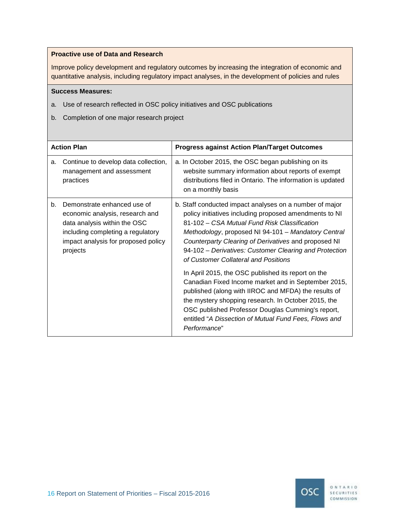#### **Proactive use of Data and Research**

Improve policy development and regulatory outcomes by increasing the integration of economic and quantitative analysis, including regulatory impact analyses, in the development of policies and rules

# **Success Measures:**

- a. Use of research reflected in OSC policy initiatives and OSC publications
- b. Completion of one major research project

| <b>Action Plan</b>                                                                                                                                                                           | <b>Progress against Action Plan/Target Outcomes</b>                                                                                                                                                                                                                                                                                                                                                                                                                                                                                                                                                                                                                                                                                          |
|----------------------------------------------------------------------------------------------------------------------------------------------------------------------------------------------|----------------------------------------------------------------------------------------------------------------------------------------------------------------------------------------------------------------------------------------------------------------------------------------------------------------------------------------------------------------------------------------------------------------------------------------------------------------------------------------------------------------------------------------------------------------------------------------------------------------------------------------------------------------------------------------------------------------------------------------------|
| Continue to develop data collection,<br>a.<br>management and assessment<br>practices                                                                                                         | a. In October 2015, the OSC began publishing on its<br>website summary information about reports of exempt<br>distributions filed in Ontario. The information is updated<br>on a monthly basis                                                                                                                                                                                                                                                                                                                                                                                                                                                                                                                                               |
| Demonstrate enhanced use of<br>b.<br>economic analysis, research and<br>data analysis within the OSC<br>including completing a regulatory<br>impact analysis for proposed policy<br>projects | b. Staff conducted impact analyses on a number of major<br>policy initiatives including proposed amendments to NI<br>81-102 – CSA Mutual Fund Risk Classification<br>Methodology, proposed NI 94-101 - Mandatory Central<br>Counterparty Clearing of Derivatives and proposed NI<br>94-102 - Derivatives: Customer Clearing and Protection<br>of Customer Collateral and Positions<br>In April 2015, the OSC published its report on the<br>Canadian Fixed Income market and in September 2015,<br>published (along with IIROC and MFDA) the results of<br>the mystery shopping research. In October 2015, the<br>OSC published Professor Douglas Cumming's report,<br>entitled "A Dissection of Mutual Fund Fees, Flows and<br>Performance" |

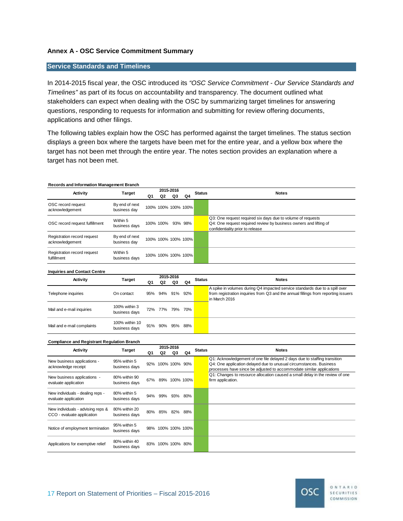# **Annex A - OSC Service Commitment Summary**

#### **Service Standards and Timelines**

In 2014-2015 fiscal year, the OSC introduced its *"OSC Service Commitment - Our Service Standards and Timelines"* as part of its focus on accountability and transparency. The document outlined what stakeholders can expect when dealing with the OSC by summarizing target timelines for answering questions, responding to requests for information and submitting for review offering documents, applications and other filings.

The following tables explain how the OSC has performed against the target timelines. The status section displays a green box where the targets have been met for the entire year, and a yellow box where the target has not been met through the entire year. The notes section provides an explanation where a target has not been met.

#### **Records and Information Management Branch**

| Activity                                       | Target                         | 2015-2016<br>Q4<br>Q3<br>Q2<br>Q1 |                   |                     | <b>Status</b> | <b>Notes</b>                                                                                          |
|------------------------------------------------|--------------------------------|-----------------------------------|-------------------|---------------------|---------------|-------------------------------------------------------------------------------------------------------|
|                                                |                                |                                   |                   |                     |               |                                                                                                       |
| OSC record request<br>acknowledgement          | By end of next<br>business dav |                                   |                   | 100% 100% 100% 100% |               |                                                                                                       |
|                                                | Within 5                       |                                   |                   |                     |               | Q3: One request required six days due to volume of requests                                           |
| OSC record request fulfillment                 | business days                  |                                   | 100% 100% 93% 98% |                     |               | Q4: One request required review by business owners and lifting of<br>confidentiality prior to release |
| Registration record request<br>acknowledgement | By end of next<br>business day |                                   |                   | 100% 100% 100% 100% |               |                                                                                                       |
| Registration record request<br>fulfillment     | Within 5<br>business days      |                                   |                   | 100% 100% 100% 100% |               |                                                                                                       |

#### **Inquiries and Contact Centre**

| <b>Activity</b>            | Target                          | 2015-2016       |                 |    |    | <b>Status</b> | <b>Notes</b>                                                                                                                                                                       |
|----------------------------|---------------------------------|-----------------|-----------------|----|----|---------------|------------------------------------------------------------------------------------------------------------------------------------------------------------------------------------|
|                            |                                 | Q1              | Q2              | Q3 | Q4 |               |                                                                                                                                                                                    |
| Telephone inquiries        | On contact                      |                 | 95% 94% 91% 92% |    |    |               | A spike in volumes during Q4 impacted service standards due to a spill over<br>from registration inquiries from Q3 and the annual fillings from reporting issuers<br>in March 2016 |
| Mail and e-mail inquiries  | 100% within 3<br>business days  |                 | 72% 77% 79% 70% |    |    |               |                                                                                                                                                                                    |
| Mail and e-mail complaints | 100% within 10<br>business days | 91% 90% 95% 88% |                 |    |    |               |                                                                                                                                                                                    |

#### **Compliance and Registrant Regulation Branch**

| <b>Activity</b>                                                 |                                | 2015-2016 |                    |    |         |               |                                                                                                                                                                                                                         |
|-----------------------------------------------------------------|--------------------------------|-----------|--------------------|----|---------|---------------|-------------------------------------------------------------------------------------------------------------------------------------------------------------------------------------------------------------------------|
|                                                                 | Target                         | Q1        | Q2                 | Q3 | Q4      | <b>Status</b> | <b>Notes</b>                                                                                                                                                                                                            |
| New business applications -<br>acknowledge receipt              | 95% within 5<br>business days  |           | 92% 100% 100% 90%  |    |         |               | Q1: Acknowledgement of one file delayed 2 days due to staffing transition<br>Q4: One application delayed due to unusual circumstances. Business<br>processes have since be adjusted to accommodate similar applications |
| New business applications -<br>evaluate application             | 80% within 90<br>business days |           | 67% 89% 100% 100%  |    |         |               | Q1: Changes to resource allocation caused a small delay in the review of one<br>firm application.                                                                                                                       |
| New individuals - dealing reps -<br>evaluate application        | 80% within 5<br>business days  |           | 94% 99%            |    | 93% 80% |               |                                                                                                                                                                                                                         |
| New individuals - advising reps &<br>CCO - evaluate application | 80% within 20<br>business davs |           | 80% 85% 82%        |    | 88%     |               |                                                                                                                                                                                                                         |
| Notice of employment termination                                | 95% within 5<br>business days  |           | 98% 100% 100% 100% |    |         |               |                                                                                                                                                                                                                         |
| Applications for exemptive relief                               | 80% within 40<br>business days |           | 83% 100% 100% 80%  |    |         |               |                                                                                                                                                                                                                         |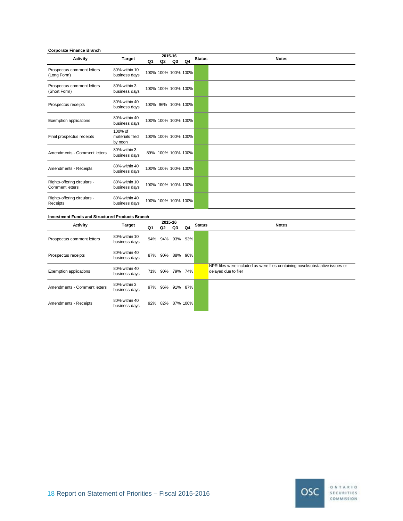#### **Corporate Finance Branch**

| Activity                                              | <b>Target</b>                         | Q1 | Q2 | 2015-16<br>Q3       | Q4 | <b>Status</b> | <b>Notes</b> |
|-------------------------------------------------------|---------------------------------------|----|----|---------------------|----|---------------|--------------|
| Prospectus comment letters<br>(Long Form)             | 80% within 10<br>business days        |    |    | 100% 100% 100% 100% |    |               |              |
| Prospectus comment letters<br>(Short Form)            | 80% within 3<br>business days         |    |    | 100% 100% 100% 100% |    |               |              |
| Prospectus receipts                                   | 80% within 40<br>business days        |    |    | 100% 96% 100% 100%  |    |               |              |
| <b>Exemption applications</b>                         | 80% within 40<br>business days        |    |    | 100% 100% 100% 100% |    |               |              |
| Final prospectus receipts                             | 100% of<br>materials filed<br>by noon |    |    | 100% 100% 100% 100% |    |               |              |
| Amendments - Comment letters                          | 80% within 3<br>business days         |    |    | 89% 100% 100% 100%  |    |               |              |
| Amendments - Receipts                                 | 80% within 40<br>business days        |    |    | 100% 100% 100% 100% |    |               |              |
| Rights-offering circulars -<br><b>Comment letters</b> | 80% within 10<br>business days        |    |    | 100% 100% 100% 100% |    |               |              |
| Rights-offering circulars -<br>Receipts               | 80% within 40<br>business days        |    |    | 100% 100% 100% 100% |    |               |              |

#### **Investment Funds and Structured Products Branch**

| Activity                      |                                | 2015-16 |                 |          |     | <b>Status</b> | <b>Notes</b>                                                                                         |
|-------------------------------|--------------------------------|---------|-----------------|----------|-----|---------------|------------------------------------------------------------------------------------------------------|
|                               | <b>Target</b>                  | Q1      | Q2              | Q3       | Q4  |               |                                                                                                      |
| Prospectus comment letters    | 80% within 10<br>business days |         | 94% 94%         | 93%      | 93% |               |                                                                                                      |
| Prospectus receipts           | 80% within 40<br>business days |         | 87% 90%         | 88% 90%  |     |               |                                                                                                      |
| <b>Exemption applications</b> | 80% within 40<br>business days |         | 71% 90% 79% 74% |          |     |               | NPR files were included as were files containing novel/substantive issues or<br>delayed due to filer |
| Amendments - Comment letters  | 80% within 3<br>business days  |         | 97% 96%         | 91%      | 87% |               |                                                                                                      |
| Amendments - Receipts         | 80% within 40<br>business days |         | 92% 82%         | 87% 100% |     |               |                                                                                                      |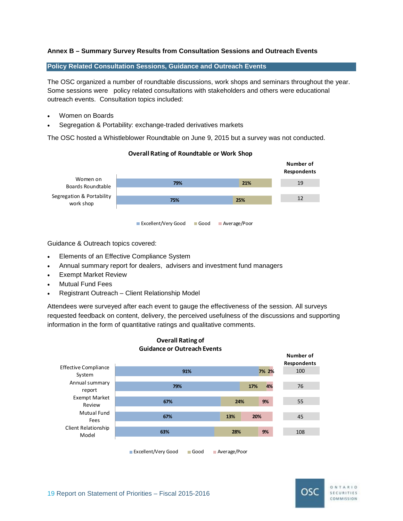# **Annex B – Summary Survey Results from Consultation Sessions and Outreach Events**

#### **Policy Related Consultation Sessions, Guidance and Outreach Events**

The OSC organized a number of roundtable discussions, work shops and seminars throughout the year. Some sessions were policy related consultations with stakeholders and others were educational outreach events. Consultation topics included:

- Women on Boards
- Segregation & Portability: exchange-traded derivatives markets

The OSC hosted a Whistleblower Roundtable on June 9, 2015 but a survey was not conducted.



#### **Overall Rating of Roundtable or Work Shop**

Guidance & Outreach topics covered:

- Elements of an Effective Compliance System
- Annual summary report for dealers, advisers and investment fund managers
- Exempt Market Review
- Mutual Fund Fees
- Registrant Outreach Client Relationship Model

Attendees were surveyed after each event to gauge the effectiveness of the session. All surveys requested feedback on content, delivery, the perceived usefulness of the discussions and supporting information in the form of quantitative ratings and qualitative comments.



# **Overall Rating of Guidance or Outreach Events**

■ Excellent/Very Good Good Average/Poor